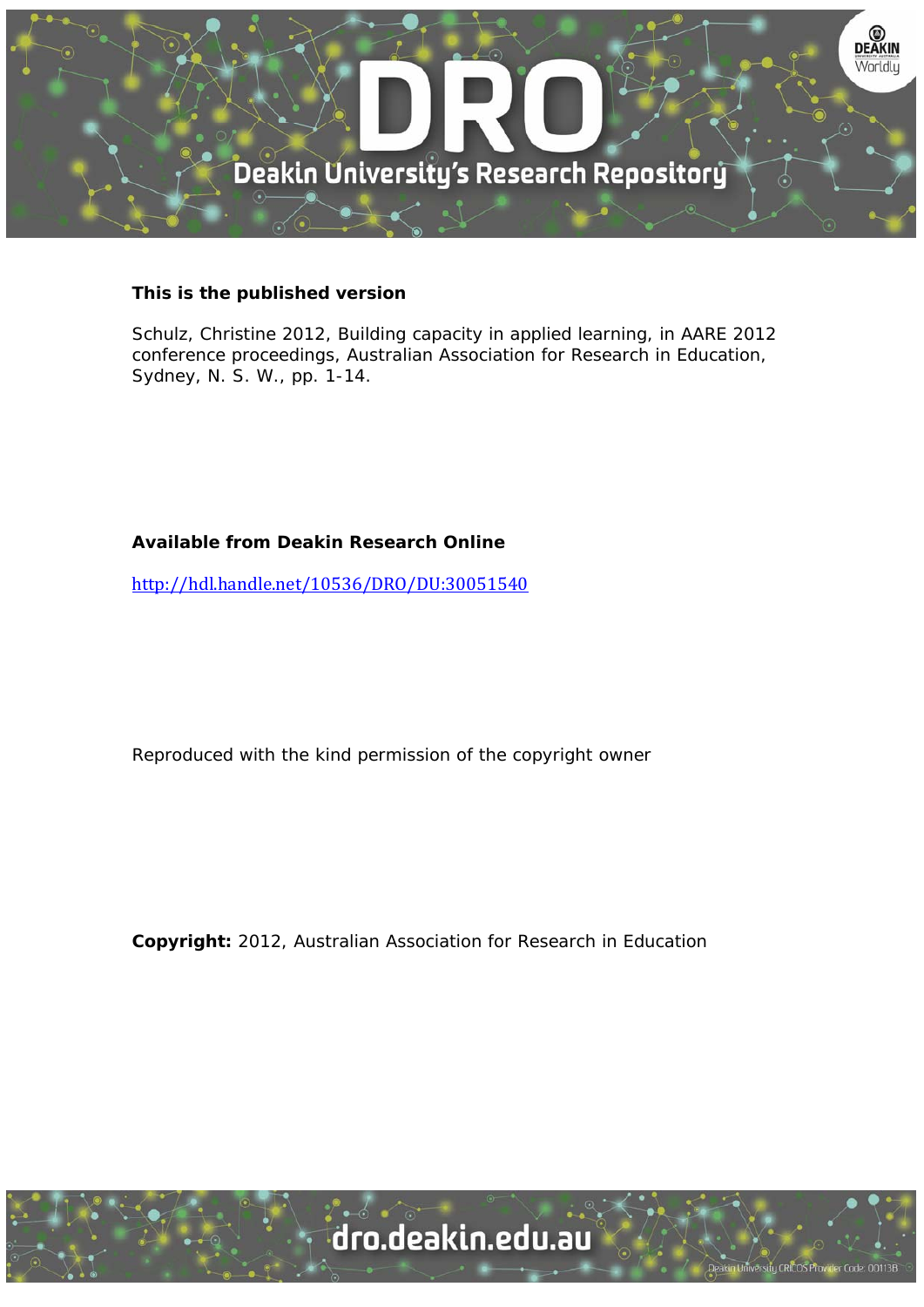

# **This is the published version**

Schulz, Christine 2012, Building capacity in applied learning, in AARE 2012 conference proceedings, Australian Association for Research in Education, Sydney, N. S. W., pp. 1-14.

# **Available from Deakin Research Online**

http://hdl.handle.net/10536/DRO/DU:30051540

Reproduced with the kind permission of the copyright owner

**Copyright:** 2012, Australian Association for Research in Education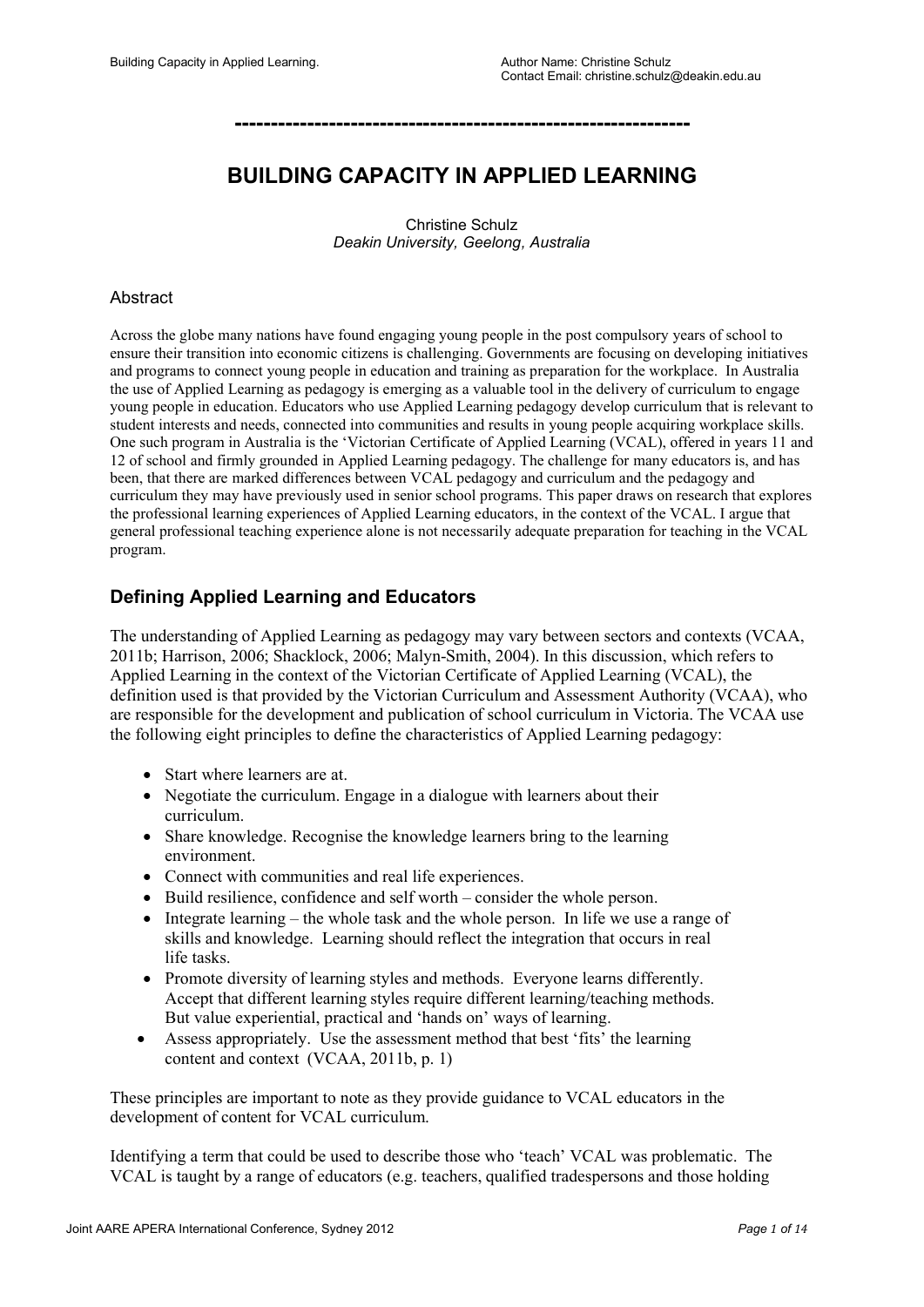**---------------------------------------------------------------**

# **BUILDING CAPACITY IN APPLIED LEARNING**

Christine Schulz *Deakin University, Geelong, Australia*

### Abstract

Across the globe many nations have found engaging young people in the post compulsory years of school to ensure their transition into economic citizens is challenging. Governments are focusing on developing initiatives and programs to connect young people in education and training as preparation for the workplace. In Australia the use of Applied Learning as pedagogy is emerging as a valuable tool in the delivery of curriculum to engage young people in education. Educators who use Applied Learning pedagogy develop curriculum that is relevant to student interests and needs, connected into communities and results in young people acquiring workplace skills. One such program in Australia is the 'Victorian Certificate of Applied Learning (VCAL), offered in years 11 and 12 of school and firmly grounded in Applied Learning pedagogy. The challenge for many educators is, and has been, that there are marked differences between VCAL pedagogy and curriculum and the pedagogy and curriculum they may have previously used in senior school programs. This paper draws on research that explores the professional learning experiences of Applied Learning educators, in the context of the VCAL. I argue that general professional teaching experience alone is not necessarily adequate preparation for teaching in the VCAL program.

# **Defining Applied Learning and Educators**

The understanding of Applied Learning as pedagogy may vary between sectors and contexts (VCAA, 2011b; Harrison, 2006; Shacklock, 2006; Malyn-Smith, 2004). In this discussion, which refers to Applied Learning in the context of the Victorian Certificate of Applied Learning (VCAL), the definition used is that provided by the Victorian Curriculum and Assessment Authority (VCAA), who are responsible for the development and publication of school curriculum in Victoria. The VCAA use the following eight principles to define the characteristics of Applied Learning pedagogy:

- Start where learners are at.
- Negotiate the curriculum. Engage in a dialogue with learners about their curriculum.
- Share knowledge. Recognise the knowledge learners bring to the learning environment.
- Connect with communities and real life experiences.
- Build resilience, confidence and self worth consider the whole person.
- $\bullet$  Integrate learning the whole task and the whole person. In life we use a range of skills and knowledge. Learning should reflect the integration that occurs in real life tasks.
- Promote diversity of learning styles and methods. Everyone learns differently. Accept that different learning styles require different learning/teaching methods. But value experiential, practical and 'hands on' ways of learning.
- Assess appropriately. Use the assessment method that best 'fits' the learning content and context (VCAA, 2011b, p. 1)

These principles are important to note as they provide guidance to VCAL educators in the development of content for VCAL curriculum.

Identifying a term that could be used to describe those who 'teach' VCAL was problematic. The VCAL is taught by a range of educators (e.g. teachers, qualified tradespersons and those holding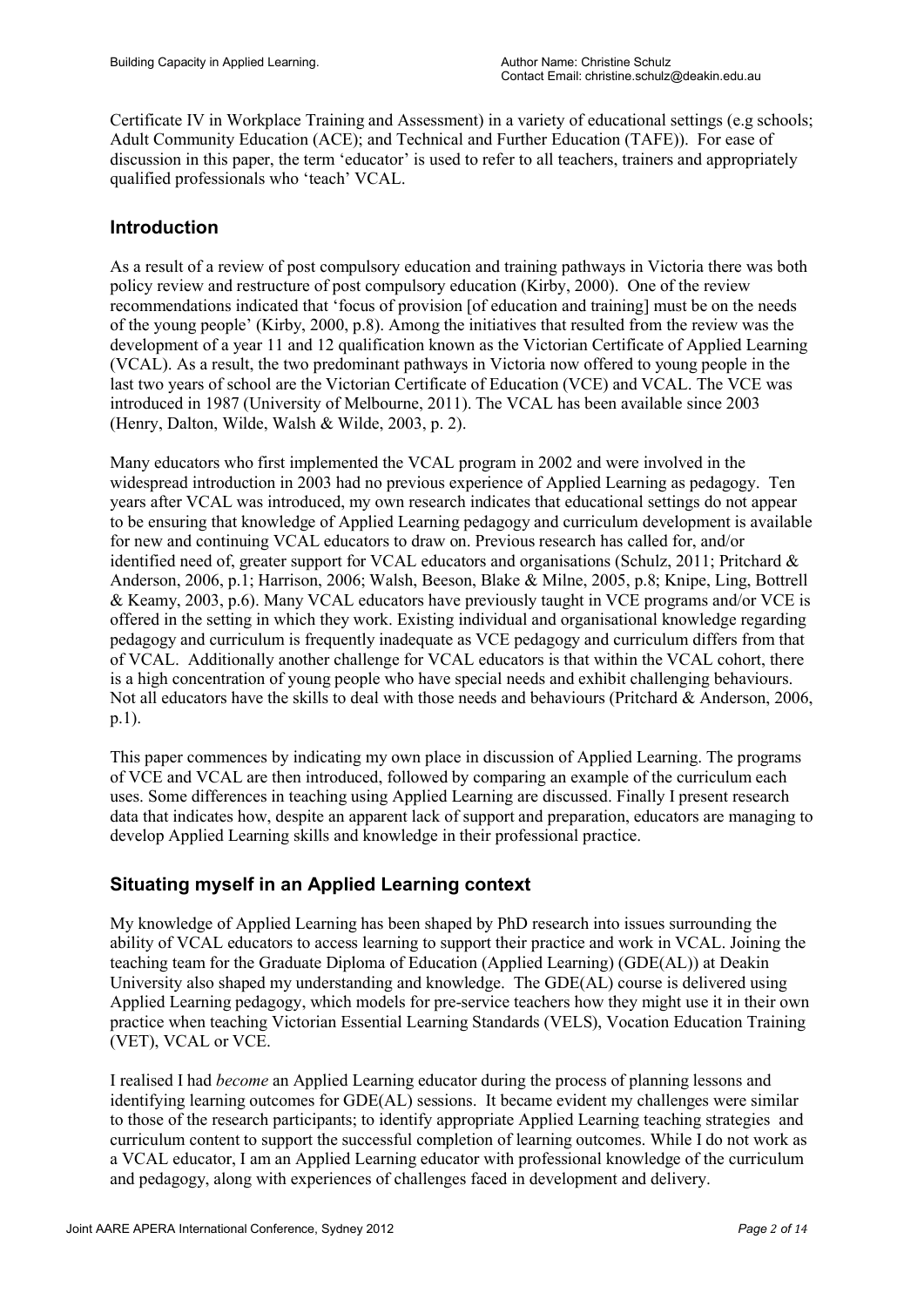Certificate IV in Workplace Training and Assessment) in a variety of educational settings (e.g schools; Adult Community Education (ACE); and Technical and Further Education (TAFE)). For ease of discussion in this paper, the term 'educator' is used to refer to all teachers, trainers and appropriately qualified professionals who 'teach' VCAL.

# **Introduction**

As a result of a review of post compulsory education and training pathways in Victoria there was both policy review and restructure of post compulsory education (Kirby, 2000). One of the review recommendations indicated that 'focus of provision [of education and training] must be on the needs of the young people' (Kirby, 2000, p.8). Among the initiatives that resulted from the review was the development of a year 11 and 12 qualification known as the Victorian Certificate of Applied Learning (VCAL). As a result, the two predominant pathways in Victoria now offered to young people in the last two years of school are the Victorian Certificate of Education (VCE) and VCAL. The VCE was introduced in 1987 (University of Melbourne, 2011). The VCAL has been available since 2003 (Henry, Dalton, Wilde, Walsh & Wilde, 2003, p. 2).

Many educators who first implemented the VCAL program in 2002 and were involved in the widespread introduction in 2003 had no previous experience of Applied Learning as pedagogy. Ten years after VCAL was introduced, my own research indicates that educational settings do not appear to be ensuring that knowledge of Applied Learning pedagogy and curriculum development is available for new and continuing VCAL educators to draw on. Previous research has called for, and/or identified need of, greater support for VCAL educators and organisations (Schulz, 2011; Pritchard  $\&$ Anderson, 2006, p.1; Harrison, 2006; Walsh, Beeson, Blake & Milne, 2005, p.8; Knipe, Ling, Bottrell & Keamy, 2003, p.6). Many VCAL educators have previously taught in VCE programs and/or VCE is offered in the setting in which they work. Existing individual and organisational knowledge regarding pedagogy and curriculum is frequently inadequate as VCE pedagogy and curriculum differs from that of VCAL. Additionally another challenge for VCAL educators is that within the VCAL cohort, there is a high concentration of young people who have special needs and exhibit challenging behaviours. Not all educators have the skills to deal with those needs and behaviours (Pritchard & Anderson, 2006, p.1).

This paper commences by indicating my own place in discussion of Applied Learning. The programs of VCE and VCAL are then introduced, followed by comparing an example of the curriculum each uses. Some differences in teaching using Applied Learning are discussed. Finally I present research data that indicates how, despite an apparent lack of support and preparation, educators are managing to develop Applied Learning skills and knowledge in their professional practice.

# **Situating myself in an Applied Learning context**

My knowledge of Applied Learning has been shaped by PhD research into issues surrounding the ability of VCAL educators to access learning to support their practice and work in VCAL. Joining the teaching team for the Graduate Diploma of Education (Applied Learning) (GDE(AL)) at Deakin University also shaped my understanding and knowledge. The GDE(AL) course is delivered using Applied Learning pedagogy, which models for pre-service teachers how they might use it in their own practice when teaching Victorian Essential Learning Standards (VELS), Vocation Education Training (VET), VCAL or VCE.

I realised I had *become* an Applied Learning educator during the process of planning lessons and identifying learning outcomes for GDE(AL) sessions. It became evident my challenges were similar to those of the research participants; to identify appropriate Applied Learning teaching strategies and curriculum content to support the successful completion of learning outcomes. While I do not work as a VCAL educator, I am an Applied Learning educator with professional knowledge of the curriculum and pedagogy, along with experiences of challenges faced in development and delivery.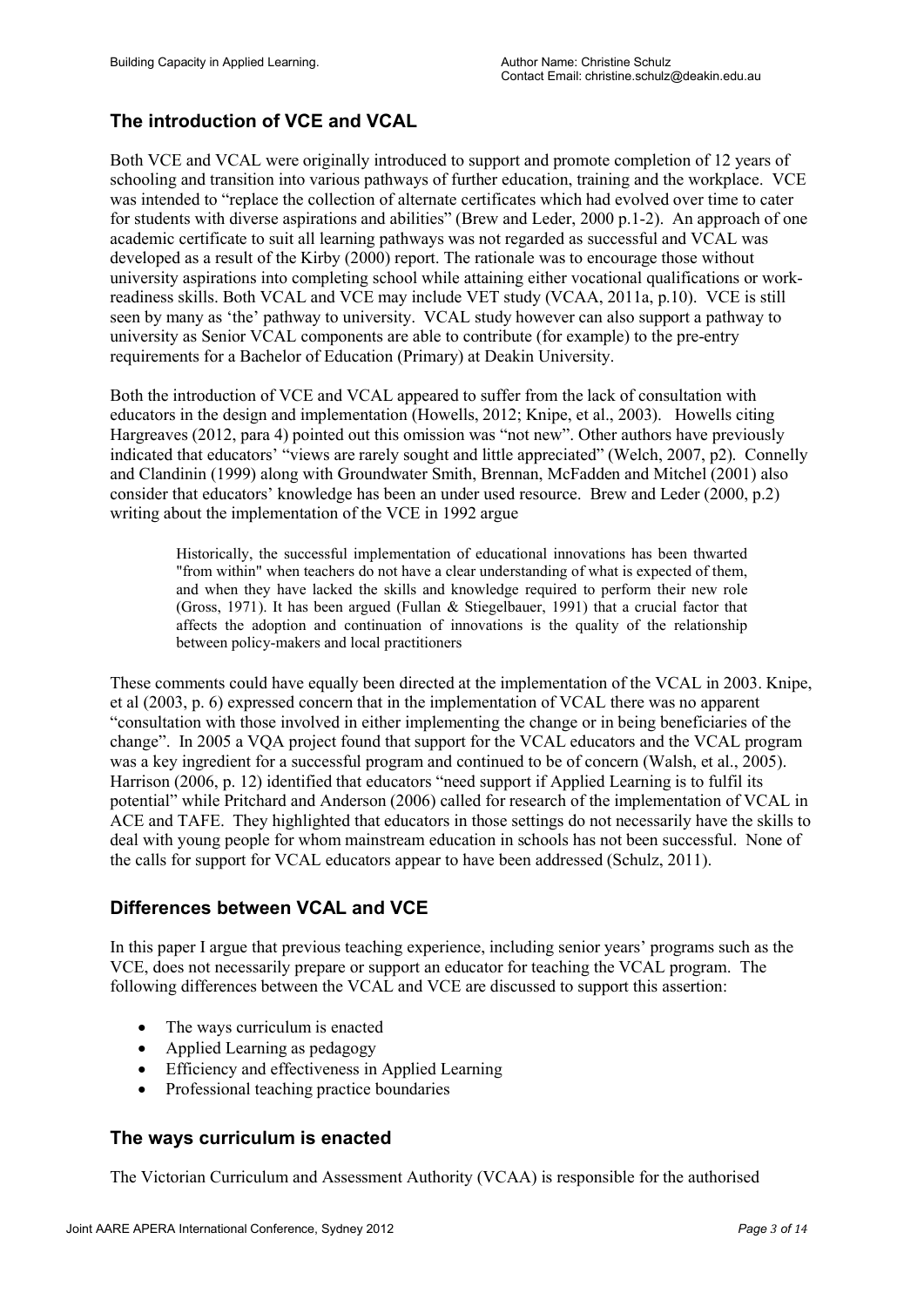# **The introduction of VCE and VCAL**

Both VCE and VCAL were originally introduced to support and promote completion of 12 years of schooling and transition into various pathways of further education, training and the workplace. VCE was intended to "replace the collection of alternate certificates which had evolved over time to cater for students with diverse aspirations and abilities" (Brew and Leder, 2000 p.1-2). An approach of one academic certificate to suit all learning pathways was not regarded as successful and VCAL was developed as a result of the Kirby (2000) report. The rationale was to encourage those without university aspirations into completing school while attaining either vocational qualifications or workreadiness skills. Both VCAL and VCE may include VET study (VCAA, 2011a, p.10). VCE is still seen by many as 'the' pathway to university. VCAL study however can also support a pathway to university as Senior VCAL components are able to contribute (for example) to the pre-entry requirements for a Bachelor of Education (Primary) at Deakin University.

Both the introduction of VCE and VCAL appeared to suffer from the lack of consultation with educators in the design and implementation (Howells, 2012; Knipe, et al., 2003). Howells citing Hargreaves (2012, para 4) pointed out this omission was "not new". Other authors have previously indicated that educators' "views are rarely sought and little appreciated" (Welch, 2007, p2). Connelly and Clandinin (1999) along with Groundwater Smith, Brennan, McFadden and Mitchel (2001) also consider that educators' knowledge has been an under used resource. Brew and Leder (2000, p.2) writing about the implementation of the VCE in 1992 argue

Historically, the successful implementation of educational innovations has been thwarted "from within" when teachers do not have a clear understanding of what is expected of them, and when they have lacked the skills and knowledge required to perform their new role (Gross, 1971). It has been argued (Fullan & Stiegelbauer, 1991) that a crucial factor that affects the adoption and continuation of innovations is the quality of the relationship between policy-makers and local practitioners

These comments could have equally been directed at the implementation of the VCAL in 2003. Knipe, et al (2003, p. 6) expressed concern that in the implementation of VCAL there was no apparent "consultation with those involved in either implementing the change or in being beneficiaries of the change". In 2005 a VQA project found that support for the VCAL educators and the VCAL program was a key ingredient for a successful program and continued to be of concern (Walsh, et al., 2005). Harrison (2006, p. 12) identified that educators "need support if Applied Learning is to fulfil its potential" while Pritchard and Anderson (2006) called for research of the implementation of VCAL in ACE and TAFE. They highlighted that educators in those settings do not necessarily have the skills to deal with young people for whom mainstream education in schools has not been successful. None of the calls for support for VCAL educators appear to have been addressed (Schulz, 2011).

# **Differences between VCAL and VCE**

In this paper I argue that previous teaching experience, including senior years' programs such as the VCE, does not necessarily prepare or support an educator for teaching the VCAL program. The following differences between the VCAL and VCE are discussed to support this assertion:

- The ways curriculum is enacted
- Applied Learning as pedagogy
- Efficiency and effectiveness in Applied Learning
- Professional teaching practice boundaries

## **The ways curriculum is enacted**

The Victorian Curriculum and Assessment Authority (VCAA) is responsible for the authorised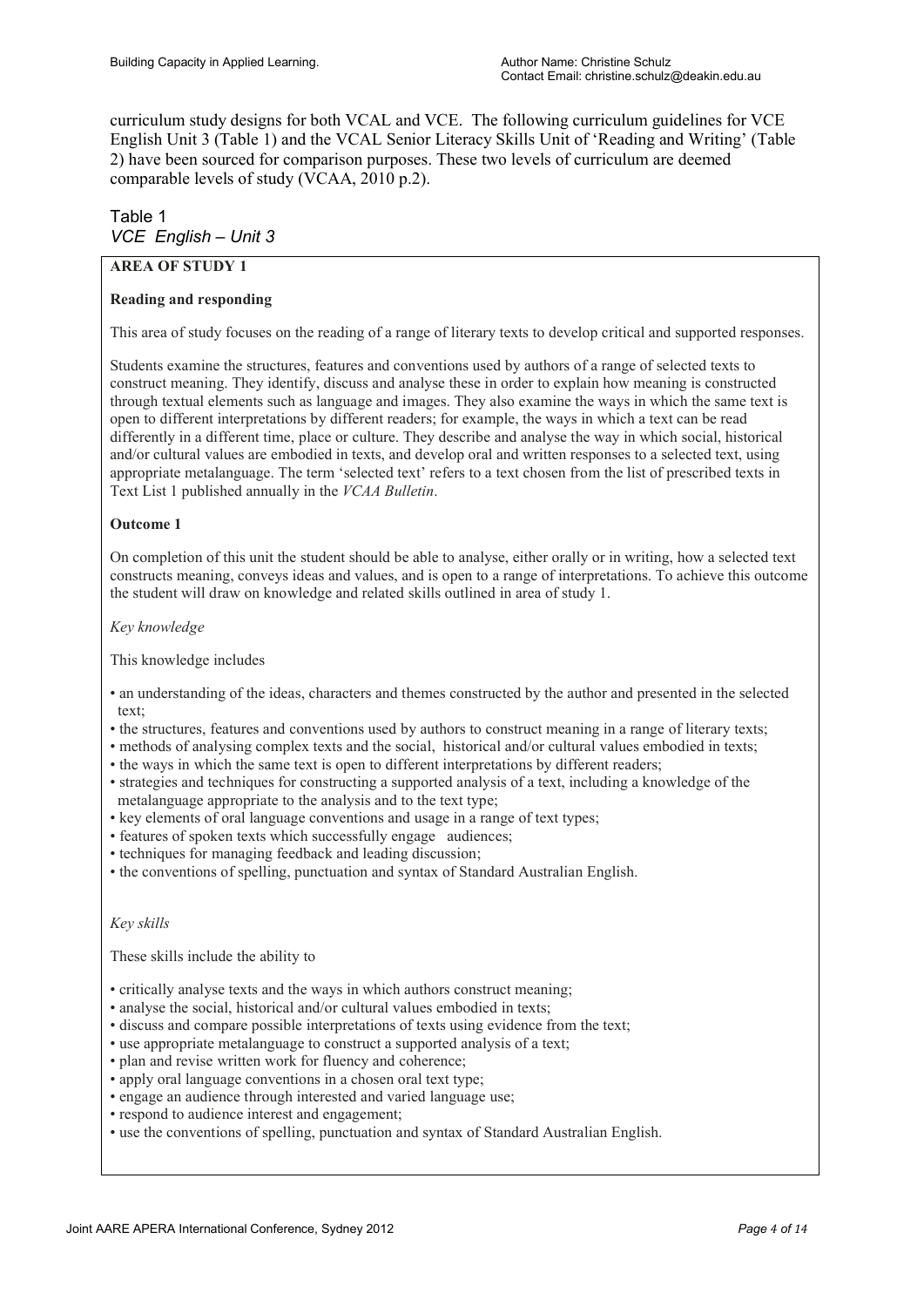curriculum study designs for both VCAL and VCE. The following curriculum guidelines for VCE English Unit 3 (Table 1) and the VCAL Senior Literacy Skills Unit of 'Reading and Writing' (Table 2) have been sourced for comparison purposes. These two levels of curriculum are deemed comparable levels of study (VCAA, 2010 p.2).

# Table 1 *VCE English – Unit 3*

### **AREA OF STUDY 1**

#### **Reading and responding**

This area of study focuses on the reading of a range of literary texts to develop critical and supported responses.

Students examine the structures, features and conventions used by authors of a range of selected texts to construct meaning. They identify, discuss and analyse these in order to explain how meaning is constructed through textual elements such as language and images. They also examine the ways in which the same text is open to different interpretations by different readers; for example, the ways in which a text can be read differently in a different time, place or culture. They describe and analyse the way in which social, historical and/or cultural values are embodied in texts, and develop oral and written responses to a selected text, using appropriate metalanguage. The term 'selected text' refers to a text chosen from the list of prescribed texts in Text List 1 published annually in the *VCAA Bulletin*.

#### **Outcome 1**

On completion of this unit the student should be able to analyse, either orally or in writing, how a selected text constructs meaning, conveys ideas and values, and is open to a range of interpretations. To achieve this outcome the student will draw on knowledge and related skills outlined in area of study 1.

*Key knowledge*

This knowledge includes

- an understanding of the ideas, characters and themes constructed by the author and presented in the selected text;
- the structures, features and conventions used by authors to construct meaning in a range of literary texts;
- methods of analysing complex texts and the social, historical and/or cultural values embodied in texts;
- the ways in which the same text is open to different interpretations by different readers;
- strategies and techniques for constructing a supported analysis of a text, including a knowledge of the metalanguage appropriate to the analysis and to the text type;
- key elements of oral language conventions and usage in a range of text types;
- features of spoken texts which successfully engage audiences;
- techniques for managing feedback and leading discussion;
- the conventions of spelling, punctuation and syntax of Standard Australian English.

*Key skills*

These skills include the ability to

- critically analyse texts and the ways in which authors construct meaning;
- analyse the social, historical and/or cultural values embodied in texts;
- discuss and compare possible interpretations of texts using evidence from the text;
- use appropriate metalanguage to construct a supported analysis of a text;
- plan and revise written work for fluency and coherence;
- apply oral language conventions in a chosen oral text type;
- engage an audience through interested and varied language use;
- respond to audience interest and engagement;
- use the conventions of spelling, punctuation and syntax of Standard Australian English.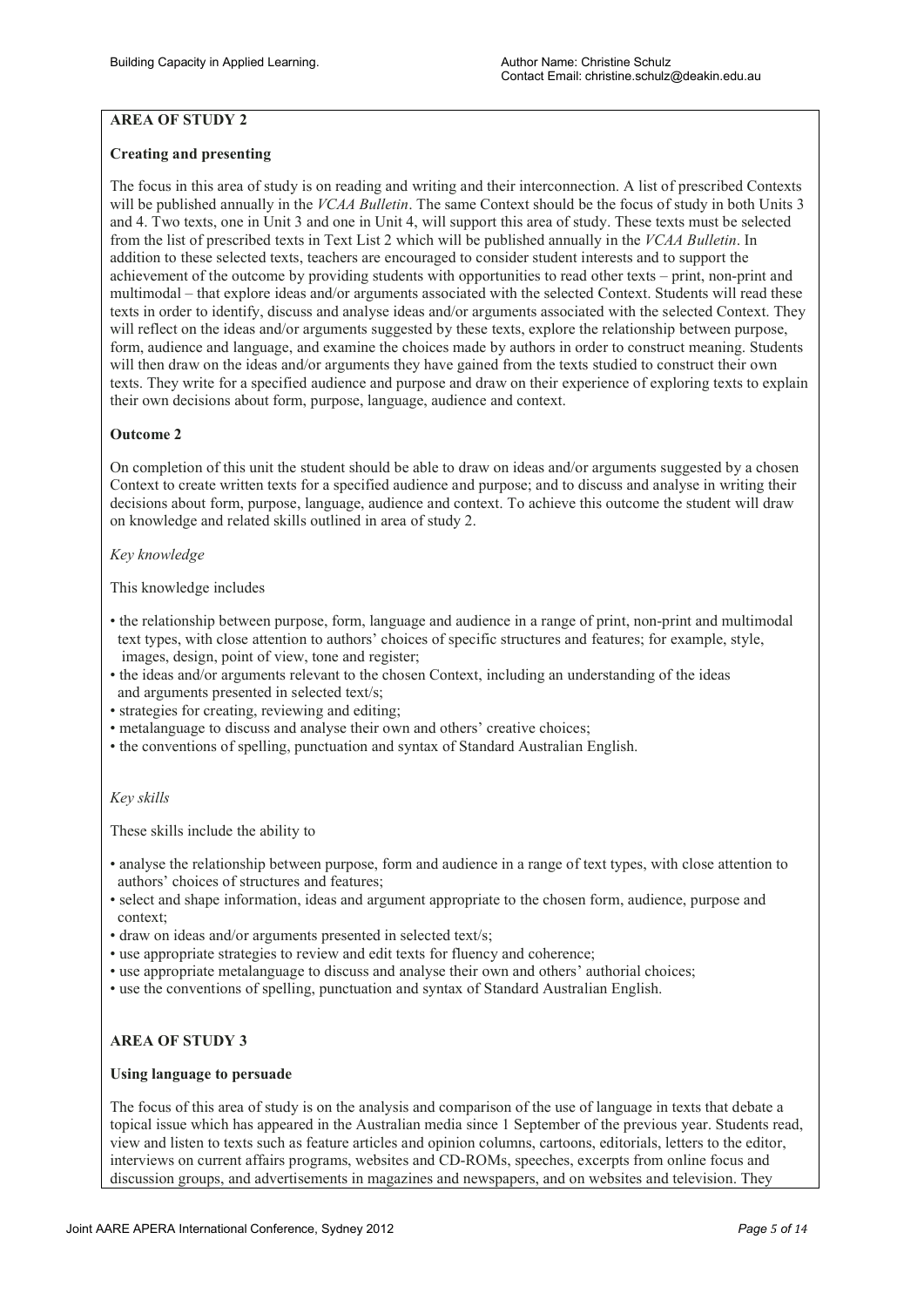## **AREA OF STUDY 2**

#### **Creating and presenting**

The focus in this area of study is on reading and writing and their interconnection. A list of prescribed Contexts will be published annually in the *VCAA Bulletin*. The same Context should be the focus of study in both Units 3 and 4. Two texts, one in Unit 3 and one in Unit 4, will support this area of study. These texts must be selected from the list of prescribed texts in Text List 2 which will be published annually in the *VCAA Bulletin*. In addition to these selected texts, teachers are encouraged to consider student interests and to support the achievement of the outcome by providing students with opportunities to read other texts – print, non-print and multimodal – that explore ideas and/or arguments associated with the selected Context. Students will read these texts in order to identify, discuss and analyse ideas and/or arguments associated with the selected Context. They will reflect on the ideas and/or arguments suggested by these texts, explore the relationship between purpose, form, audience and language, and examine the choices made by authors in order to construct meaning. Students will then draw on the ideas and/or arguments they have gained from the texts studied to construct their own texts. They write for a specified audience and purpose and draw on their experience of exploring texts to explain their own decisions about form, purpose, language, audience and context.

#### **Outcome 2**

On completion of this unit the student should be able to draw on ideas and/or arguments suggested by a chosen Context to create written texts for a specified audience and purpose; and to discuss and analyse in writing their decisions about form, purpose, language, audience and context. To achieve this outcome the student will draw on knowledge and related skills outlined in area of study 2.

#### *Key knowledge*

This knowledge includes

- the relationship between purpose, form, language and audience in a range of print, non-print and multimodal text types, with close attention to authors' choices of specific structures and features; for example, style, images, design, point of view, tone and register;
- the ideas and/or arguments relevant to the chosen Context, including an understanding of the ideas and arguments presented in selected text/s;
- strategies for creating, reviewing and editing;
- metalanguage to discuss and analyse their own and others' creative choices;
- the conventions of spelling, punctuation and syntax of Standard Australian English.

#### *Key skills*

These skills include the ability to

- analyse the relationship between purpose, form and audience in a range of text types, with close attention to authors' choices of structures and features;
- select and shape information, ideas and argument appropriate to the chosen form, audience, purpose and context;
- draw on ideas and/or arguments presented in selected text/s;
- use appropriate strategies to review and edit texts for fluency and coherence;
- use appropriate metalanguage to discuss and analyse their own and others' authorial choices;
- use the conventions of spelling, punctuation and syntax of Standard Australian English.

### **AREA OF STUDY 3**

#### **Using language to persuade**

The focus of this area of study is on the analysis and comparison of the use of language in texts that debate a topical issue which has appeared in the Australian media since 1 September of the previous year. Students read, view and listen to texts such as feature articles and opinion columns, cartoons, editorials, letters to the editor, interviews on current affairs programs, websites and CD-ROMs, speeches, excerpts from online focus and discussion groups, and advertisements in magazines and newspapers, and on websites and television. They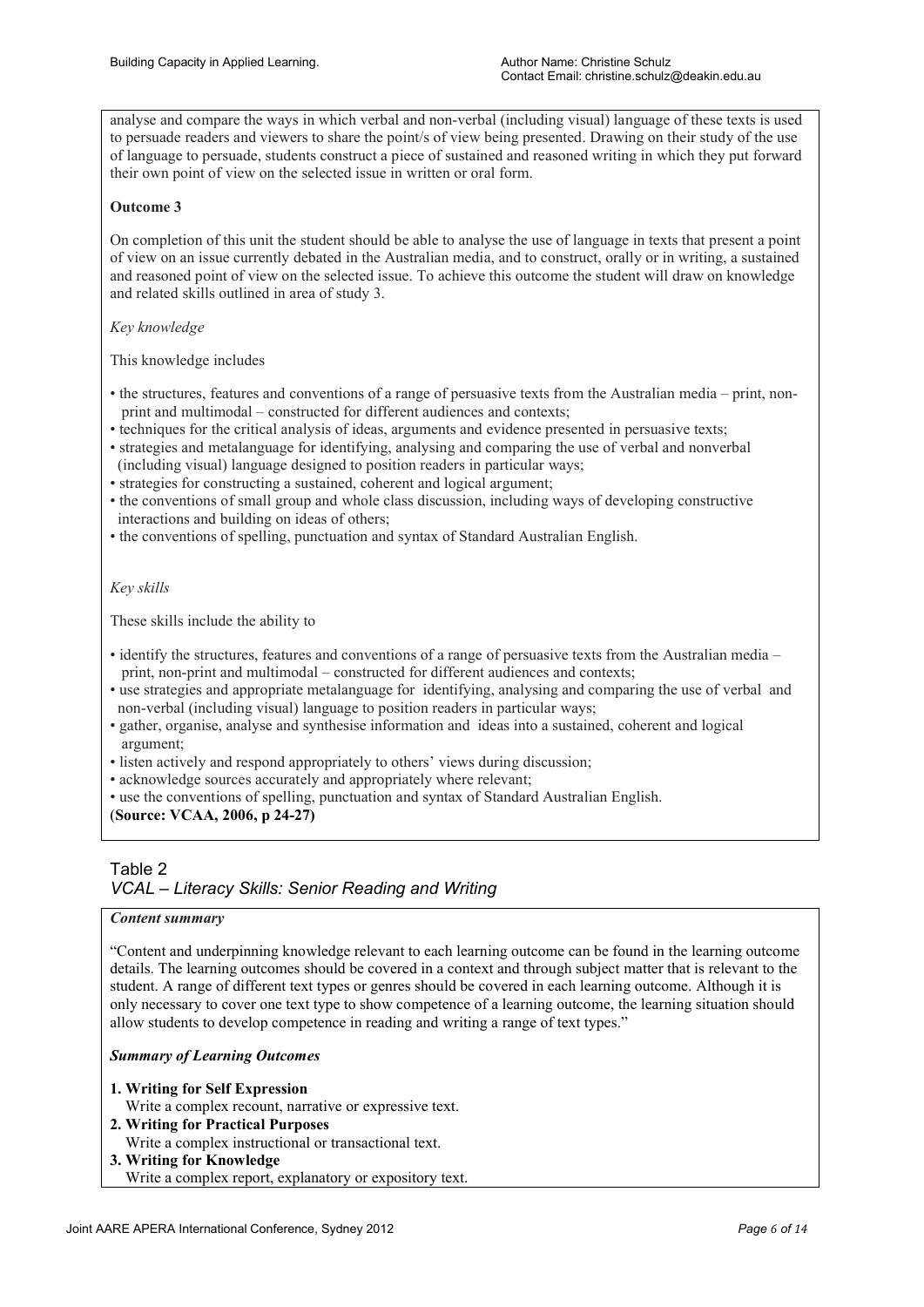analyse and compare the ways in which verbal and non-verbal (including visual) language of these texts is used to persuade readers and viewers to share the point/s of view being presented. Drawing on their study of the use of language to persuade, students construct a piece of sustained and reasoned writing in which they put forward their own point of view on the selected issue in written or oral form.

#### **Outcome 3**

On completion of this unit the student should be able to analyse the use of language in texts that present a point of view on an issue currently debated in the Australian media, and to construct, orally or in writing, a sustained and reasoned point of view on the selected issue. To achieve this outcome the student will draw on knowledge and related skills outlined in area of study 3.

#### *Key knowledge*

This knowledge includes

- the structures, features and conventions of a range of persuasive texts from the Australian media print, non print and multimodal – constructed for different audiences and contexts;
- techniques for the critical analysis of ideas, arguments and evidence presented in persuasive texts;
- strategies and metalanguage for identifying, analysing and comparing the use of verbal and nonverbal (including visual) language designed to position readers in particular ways;
- strategies for constructing a sustained, coherent and logical argument;
- the conventions of small group and whole class discussion, including ways of developing constructive interactions and building on ideas of others;
- the conventions of spelling, punctuation and syntax of Standard Australian English.

#### *Key skills*

These skills include the ability to

- identify the structures, features and conventions of a range of persuasive texts from the Australian media print, non-print and multimodal – constructed for different audiences and contexts;
- use strategies and appropriate metalanguage for identifying, analysing and comparing the use of verbal and non-verbal (including visual) language to position readers in particular ways;
- gather, organise, analyse and synthesise information and ideas into a sustained, coherent and logical argument;
- listen actively and respond appropriately to others' views during discussion;
- acknowledge sources accurately and appropriately where relevant;
- use the conventions of spelling, punctuation and syntax of Standard Australian English.

#### (**Source: VCAA, 2006, p 24-27)**

#### Table 2 *VCAL – Literacy Skills: Senior Reading and Writing*

#### *Content summary*

"Content and underpinning knowledge relevant to each learning outcome can be found in the learning outcome details. The learning outcomes should be covered in a context and through subject matter that is relevant to the student. A range of different text types or genres should be covered in each learning outcome. Although it is only necessary to cover one text type to show competence of a learning outcome, the learning situation should allow students to develop competence in reading and writing a range of text types."

#### *Summary of Learning Outcomes*

- **1. Writing for Self Expression** Write a complex recount, narrative or expressive text.
- **2. Writing for Practical Purposes**
- Write a complex instructional or transactional text.
- **3. Writing for Knowledge** Write a complex report, explanatory or expository text.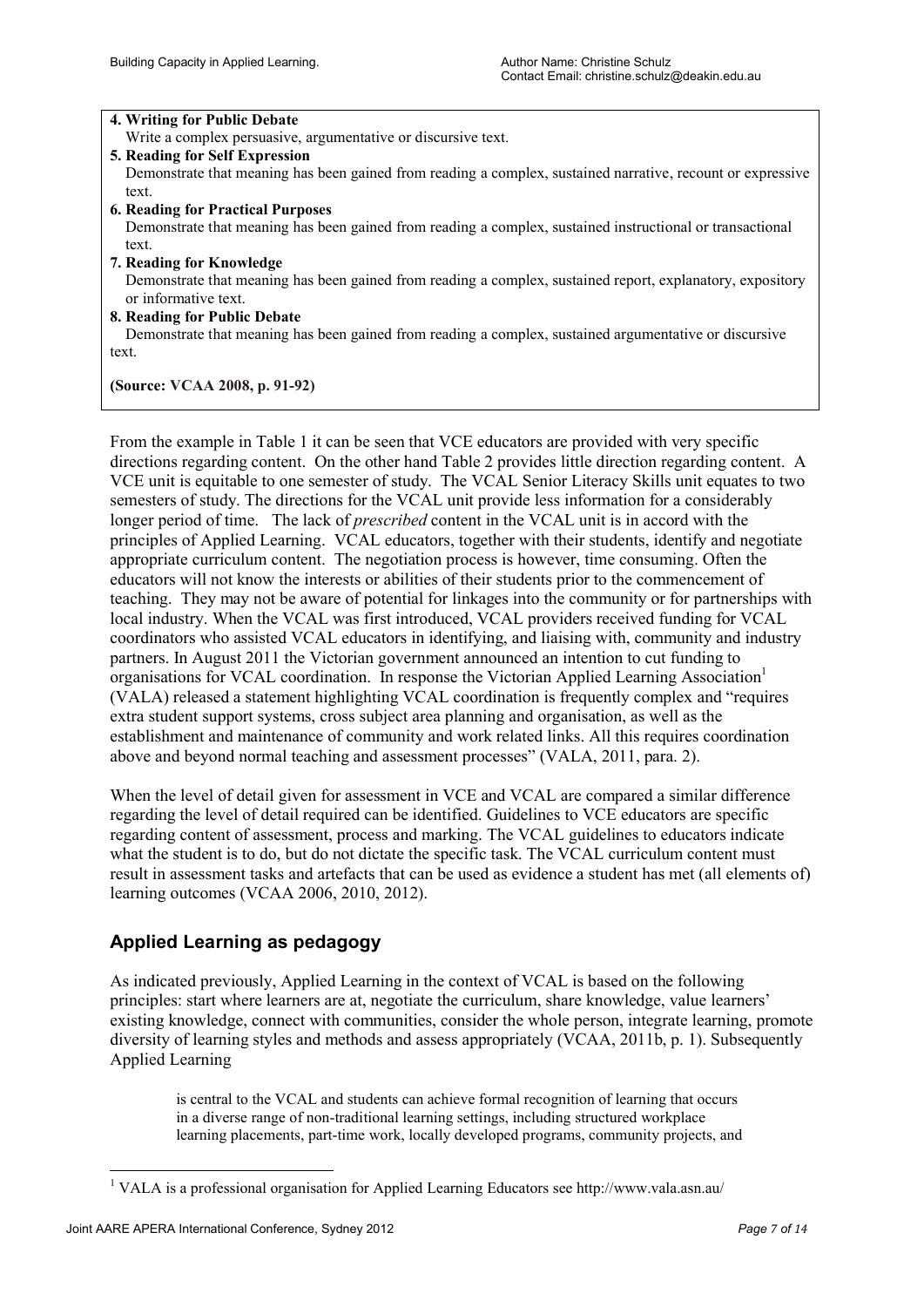#### **4. Writing for Public Debate**

Write a complex persuasive, argumentative or discursive text.

**5. Reading for Self Expression**

 Demonstrate that meaning has been gained from reading a complex, sustained narrative, recount or expressive text.

**6. Reading for Practical Purposes**

 Demonstrate that meaning has been gained from reading a complex, sustained instructional or transactional text.**ior**

- **7. Reading for Knowledge** Demonstrate that meaning has been gained from reading a complex, sustained report, explanatory, expository or informative text.
- **8. Reading for Public Debate**

 Demonstrate that meaning has been gained from reading a complex, sustained argumentative or discursive text.

**(Source: VCAA 2008, p. 91-92)**

From the example in Table 1 it can be seen that VCE educators are provided with very specific directions regarding content. On the other hand Table 2 provides little direction regarding content. A VCE unit is equitable to one semester of study. The VCAL Senior Literacy Skills unit equates to two semesters of study. The directions for the VCAL unit provide less information for a considerably longer period of time. The lack of *prescribed* content in the VCAL unit is in accord with the principles of Applied Learning. VCAL educators, together with their students, identify and negotiate appropriate curriculum content. The negotiation process is however, time consuming. Often the educators will not know the interests or abilities of their students prior to the commencement of teaching. They may not be aware of potential for linkages into the community or for partnerships with local industry. When the VCAL was first introduced, VCAL providers received funding for VCAL coordinators who assisted VCAL educators in identifying, and liaising with, community and industry partners. In August 2011 the Victorian government announced an intention to cut funding to organisations for VCAL coordination. In response the Victorian Applied Learning Association<sup>1</sup> (VALA) released a statement highlighting VCAL coordination is frequently complex and "requires extra student support systems, cross subject area planning and organisation, as well as the establishment and maintenance of community and work related links. All this requires coordination above and beyond normal teaching and assessment processes" (VALA, 2011, para. 2).

When the level of detail given for assessment in VCE and VCAL are compared a similar difference regarding the level of detail required can be identified. Guidelines to VCE educators are specific regarding content of assessment, process and marking. The VCAL guidelines to educators indicate what the student is to do, but do not dictate the specific task. The VCAL curriculum content must result in assessment tasks and artefacts that can be used as evidence a student has met (all elements of) learning outcomes (VCAA 2006, 2010, 2012).

# **Applied Learning as pedagogy**

As indicated previously, Applied Learning in the context of VCAL is based on the following principles: start where learners are at, negotiate the curriculum, share knowledge, value learners' existing knowledge, connect with communities, consider the whole person, integrate learning, promote diversity of learning styles and methods and assess appropriately (VCAA, 2011b, p. 1). Subsequently Applied Learning

is central to the VCAL and students can achieve formal recognition of learning that occurs in a diverse range of non-traditional learning settings, including structured workplace learning placements, part-time work, locally developed programs, community projects, and

<u>.</u>

<sup>1</sup> VALA is a professional organisation for Applied Learning Educators see http://www.vala.asn.au/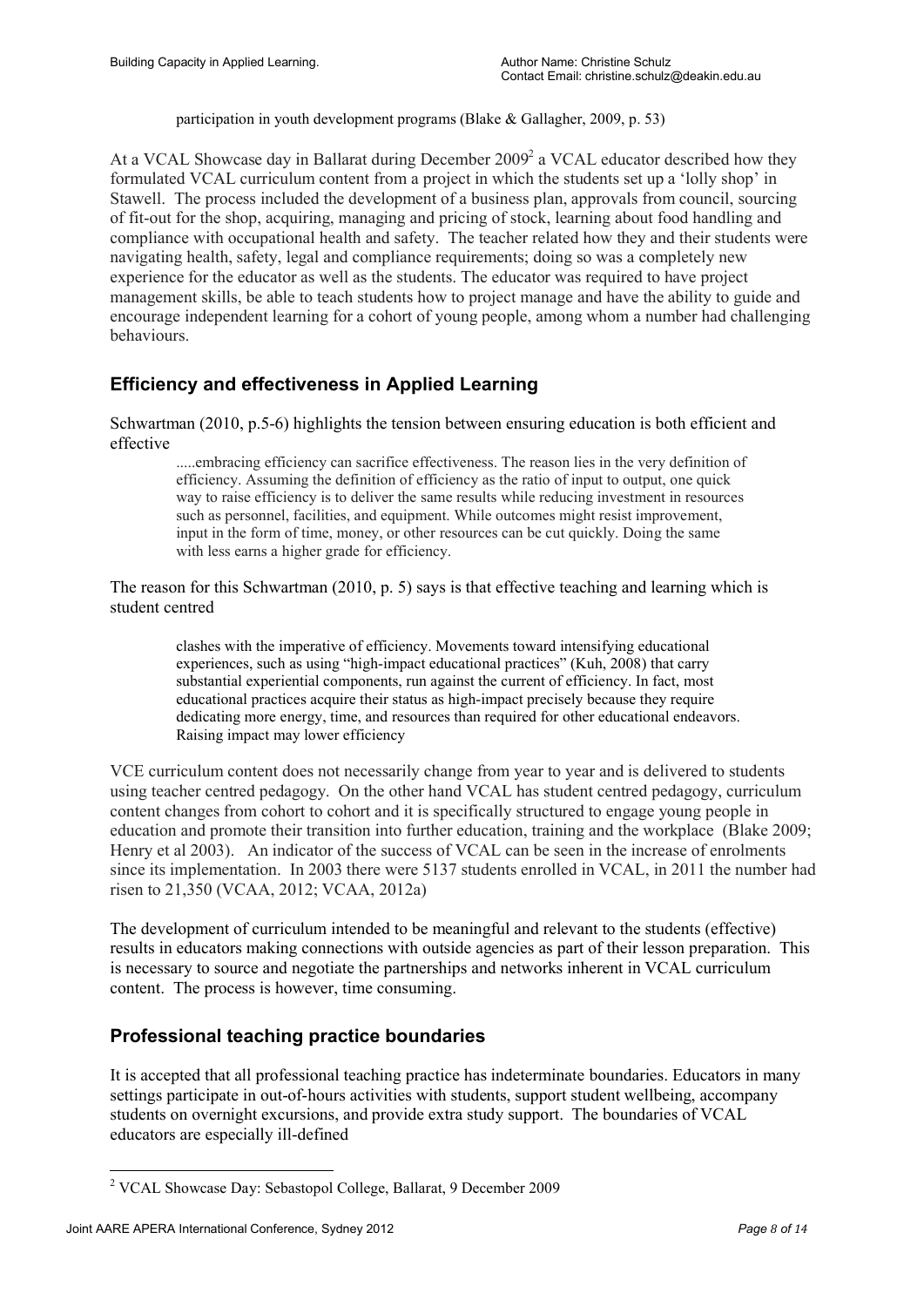participation in youth development programs (Blake & Gallagher, 2009, p. 53)

At a VCAL Showcase day in Ballarat during December 2009<sup>2</sup> a VCAL educator described how they formulated VCAL curriculum content from a project in which the students set up a 'lolly shop' in Stawell. The process included the development of a business plan, approvals from council, sourcing of fit-out for the shop, acquiring, managing and pricing of stock, learning about food handling and compliance with occupational health and safety. The teacher related how they and their students were navigating health, safety, legal and compliance requirements; doing so was a completely new experience for the educator as well as the students. The educator was required to have project management skills, be able to teach students how to project manage and have the ability to guide and encourage independent learning for a cohort of young people, among whom a number had challenging behaviours.

# **Efficiency and effectiveness in Applied Learning**

Schwartman (2010, p.5-6) highlights the tension between ensuring education is both efficient and effective

.....embracing efficiency can sacrifice effectiveness. The reason lies in the very definition of efficiency. Assuming the definition of efficiency as the ratio of input to output, one quick way to raise efficiency is to deliver the same results while reducing investment in resources such as personnel, facilities, and equipment. While outcomes might resist improvement, input in the form of time, money, or other resources can be cut quickly. Doing the same with less earns a higher grade for efficiency.

The reason for this Schwartman (2010, p. 5) says is that effective teaching and learning which is student centred

clashes with the imperative of efficiency. Movements toward intensifying educational experiences, such as using "high-impact educational practices" (Kuh, 2008) that carry substantial experiential components, run against the current of efficiency. In fact, most educational practices acquire their status as high-impact precisely because they require dedicating more energy, time, and resources than required for other educational endeavors. Raising impact may lower efficiency

VCE curriculum content does not necessarily change from year to year and is delivered to students using teacher centred pedagogy. On the other hand VCAL has student centred pedagogy, curriculum content changes from cohort to cohort and it is specifically structured to engage young people in education and promote their transition into further education, training and the workplace (Blake 2009; Henry et al 2003). An indicator of the success of VCAL can be seen in the increase of enrolments since its implementation. In 2003 there were 5137 students enrolled in VCAL, in 2011 the number had risen to 21,350 (VCAA, 2012; VCAA, 2012a)

The development of curriculum intended to be meaningful and relevant to the students (effective) results in educators making connections with outside agencies as part of their lesson preparation. This is necessary to source and negotiate the partnerships and networks inherent in VCAL curriculum content. The process is however, time consuming.

## **Professional teaching practice boundaries**

It is accepted that all professional teaching practice has indeterminate boundaries. Educators in many settings participate in out-of-hours activities with students, support student wellbeing, accompany students on overnight excursions, and provide extra study support. The boundaries of VCAL educators are especially ill-defined

<u>.</u>

<sup>2</sup> VCAL Showcase Day: Sebastopol College, Ballarat, 9 December 2009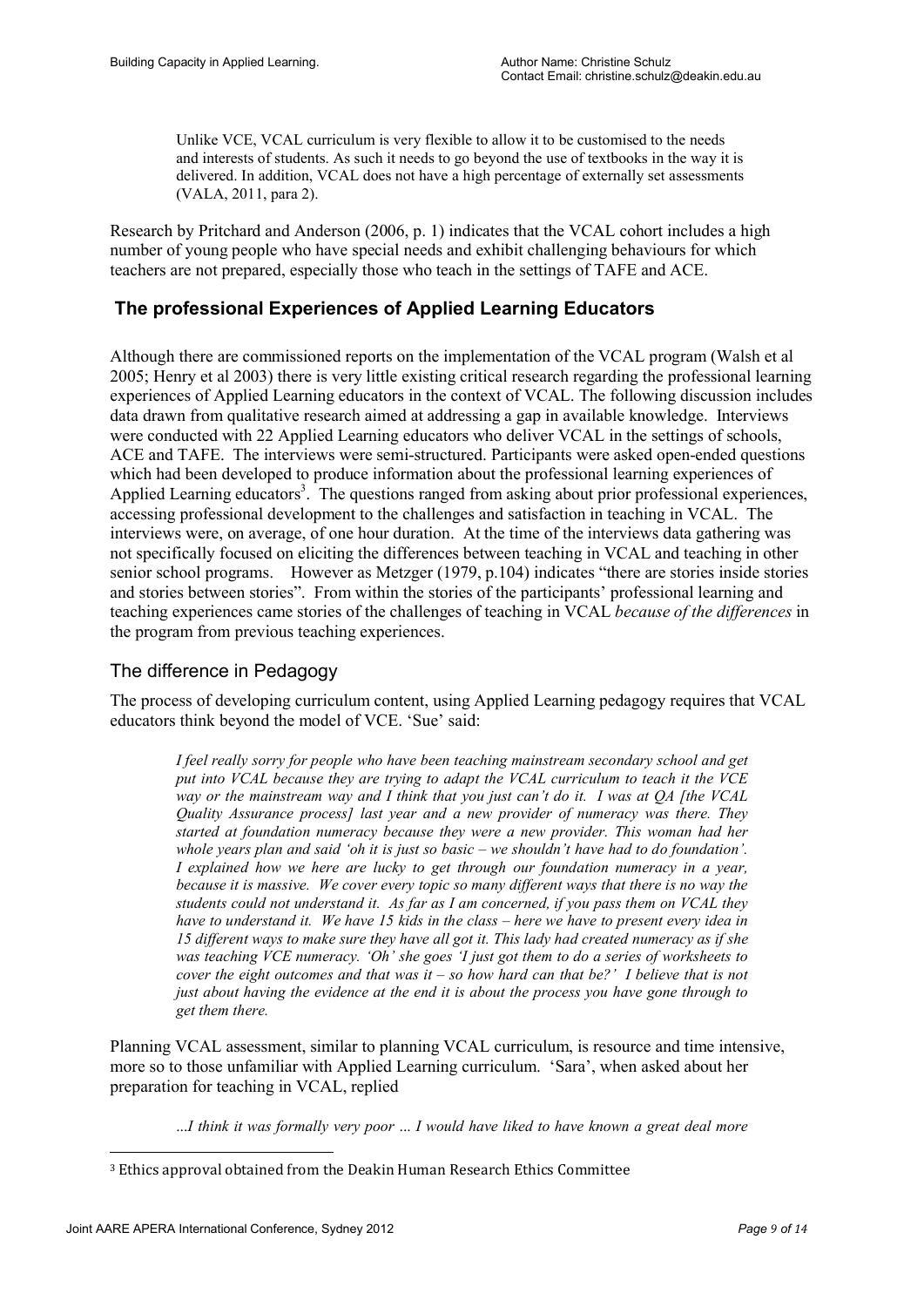Unlike VCE, VCAL curriculum is very flexible to allow it to be customised to the needs and interests of students. As such it needs to go beyond the use of textbooks in the way it is delivered. In addition, VCAL does not have a high percentage of externally set assessments (VALA, 2011, para 2).

Research by Pritchard and Anderson (2006, p. 1) indicates that the VCAL cohort includes a high number of young people who have special needs and exhibit challenging behaviours for which teachers are not prepared, especially those who teach in the settings of TAFE and ACE.

# **The professional Experiences of Applied Learning Educators**

Although there are commissioned reports on the implementation of the VCAL program (Walsh et al 2005; Henry et al 2003) there is very little existing critical research regarding the professional learning experiences of Applied Learning educators in the context of VCAL. The following discussion includes data drawn from qualitative research aimed at addressing a gap in available knowledge. Interviews were conducted with 22 Applied Learning educators who deliver VCAL in the settings of schools, ACE and TAFE. The interviews were semi-structured. Participants were asked open-ended questions which had been developed to produce information about the professional learning experiences of Applied Learning educators<sup>3</sup>. The questions ranged from asking about prior professional experiences, accessing professional development to the challenges and satisfaction in teaching in VCAL. The interviews were, on average, of one hour duration. At the time of the interviews data gathering was not specifically focused on eliciting the differences between teaching in VCAL and teaching in other senior school programs. However as Metzger (1979, p.104) indicates "there are stories inside stories and stories between stories". From within the stories of the participants' professional learning and teaching experiences came stories of the challenges of teaching in VCAL *because of the differences* in the program from previous teaching experiences.

## The difference in Pedagogy

The process of developing curriculum content, using Applied Learning pedagogy requires that VCAL educators think beyond the model of VCE. 'Sue' said:

*I feel really sorry for people who have been teaching mainstream secondary school and get put into VCAL because they are trying to adapt the VCAL curriculum to teach it the VCE way or the mainstream way and I think that you just can't do it. I was at QA [the VCAL Quality Assurance process] last year and a new provider of numeracy was there. They started at foundation numeracy because they were a new provider. This woman had her whole years plan and said 'oh it is just so basic – we shouldn't have had to do foundation'. I explained how we here are lucky to get through our foundation numeracy in a year, because it is massive. We cover every topic so many different ways that there is no way the students could not understand it. As far as I am concerned, if you pass them on VCAL they have to understand it. We have 15 kids in the class – here we have to present every idea in 15 different ways to make sure they have all got it. This lady had created numeracy as if she was teaching VCE numeracy. 'Oh' she goes 'I just got them to do a series of worksheets to cover the eight outcomes and that was it – so how hard can that be?' I believe that is not just about having the evidence at the end it is about the process you have gone through to get them there.* 

Planning VCAL assessment, similar to planning VCAL curriculum, is resource and time intensive, more so to those unfamiliar with Applied Learning curriculum. 'Sara', when asked about her preparation for teaching in VCAL, replied

...*I think it was formally very poor* ... *I would have liked to have known a great deal more* 

<u>.</u>

<sup>3</sup> Ethics approval obtained from the Deakin Human Research Ethics Committee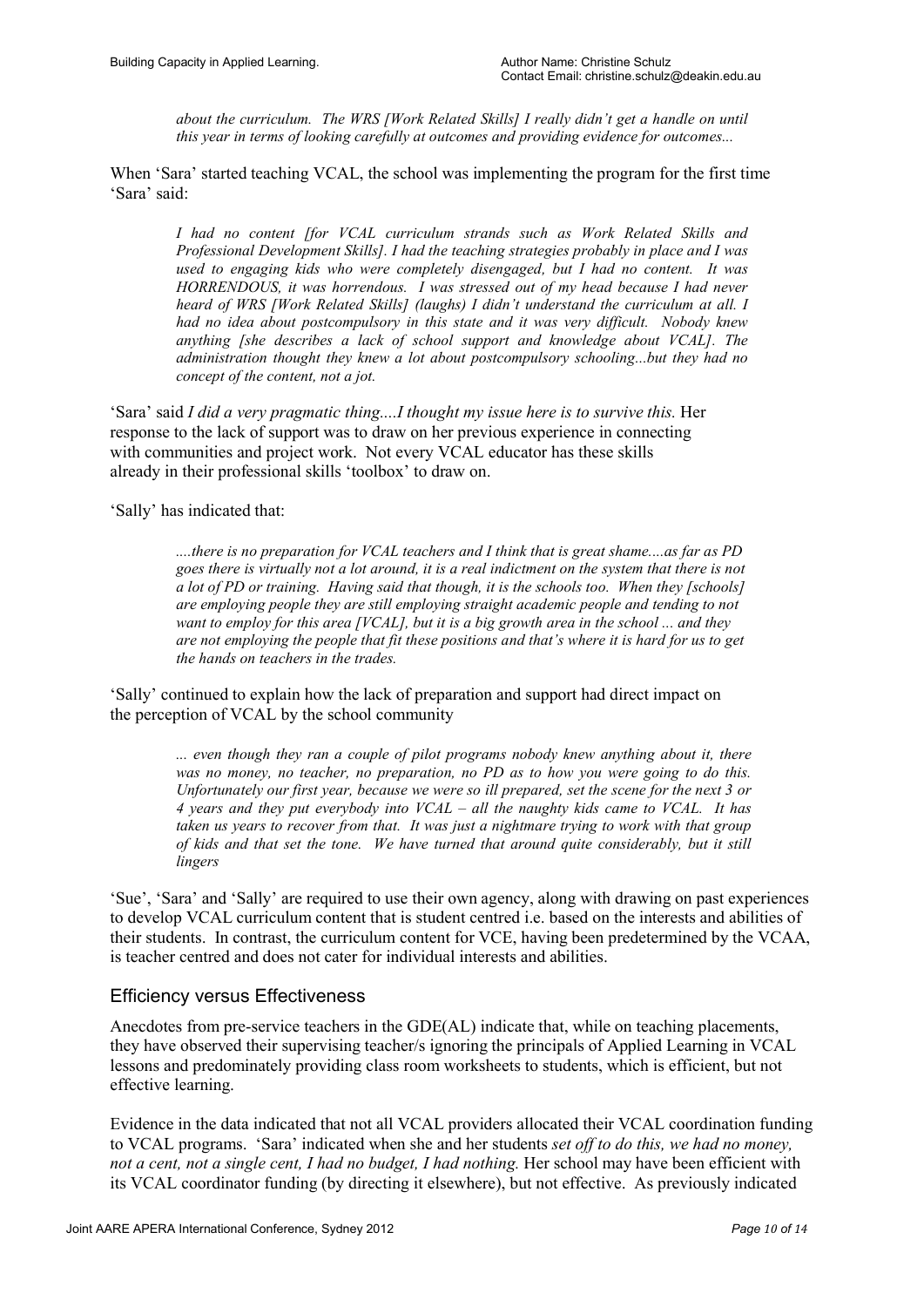*about the curriculum. The WRS [Work Related Skills] I really didn't get a handle on until this year in terms of looking carefully at outcomes and providing evidence for outcomes...*

When 'Sara' started teaching VCAL, the school was implementing the program for the first time 'Sara' said:

*I had no content [for VCAL curriculum strands such as Work Related Skills and Professional Development Skills]. I had the teaching strategies probably in place and I was used to engaging kids who were completely disengaged, but I had no content. It was HORRENDOUS, it was horrendous. I was stressed out of my head because I had never heard of WRS [Work Related Skills] (laughs) I didn't understand the curriculum at all. I had no idea about postcompulsory in this state and it was very difficult. Nobody knew anything [she describes a lack of school support and knowledge about VCAL]. The administration thought they knew a lot about postcompulsory schooling...but they had no concept of the content, not a jot.*

'Sara' said *I did a very pragmatic thing....I thought my issue here is to survive this.* Her response to the lack of support was to draw on her previous experience in connecting with communities and project work. Not every VCAL educator has these skills already in their professional skills 'toolbox' to draw on.

'Sally' has indicated that:

*....there is no preparation for VCAL teachers and I think that is great shame....as far as PD goes there is virtually not a lot around, it is a real indictment on the system that there is not a lot of PD or training. Having said that though, it is the schools too. When they [schools] are employing people they are still employing straight academic people and tending to not want to employ for this area [VCAL], but it is a big growth area in the school ... and they are not employing the people that fit these positions and that's where it is hard for us to get the hands on teachers in the trades.*

'Sally' continued to explain how the lack of preparation and support had direct impact on the perception of VCAL by the school community

> *... even though they ran a couple of pilot programs nobody knew anything about it, there was no money, no teacher, no preparation, no PD as to how you were going to do this. Unfortunately our first year, because we were so ill prepared, set the scene for the next 3 or 4 years and they put everybody into VCAL – all the naughty kids came to VCAL. It has taken us years to recover from that. It was just a nightmare trying to work with that group of kids and that set the tone. We have turned that around quite considerably, but it still lingers*

'Sue', 'Sara' and 'Sally' are required to use their own agency, along with drawing on past experiences to develop VCAL curriculum content that is student centred i.e. based on the interests and abilities of their students. In contrast, the curriculum content for VCE, having been predetermined by the VCAA, is teacher centred and does not cater for individual interests and abilities.

## Efficiency versus Effectiveness

Anecdotes from pre-service teachers in the GDE(AL) indicate that, while on teaching placements, they have observed their supervising teacher/s ignoring the principals of Applied Learning in VCAL lessons and predominately providing class room worksheets to students, which is efficient, but not effective learning.

Evidence in the data indicated that not all VCAL providers allocated their VCAL coordination funding to VCAL programs. 'Sara' indicated when she and her students *set off to do this, we had no money, not a cent, not a single cent, I had no budget, I had nothing.* Her school may have been efficient with its VCAL coordinator funding (by directing it elsewhere), but not effective. As previously indicated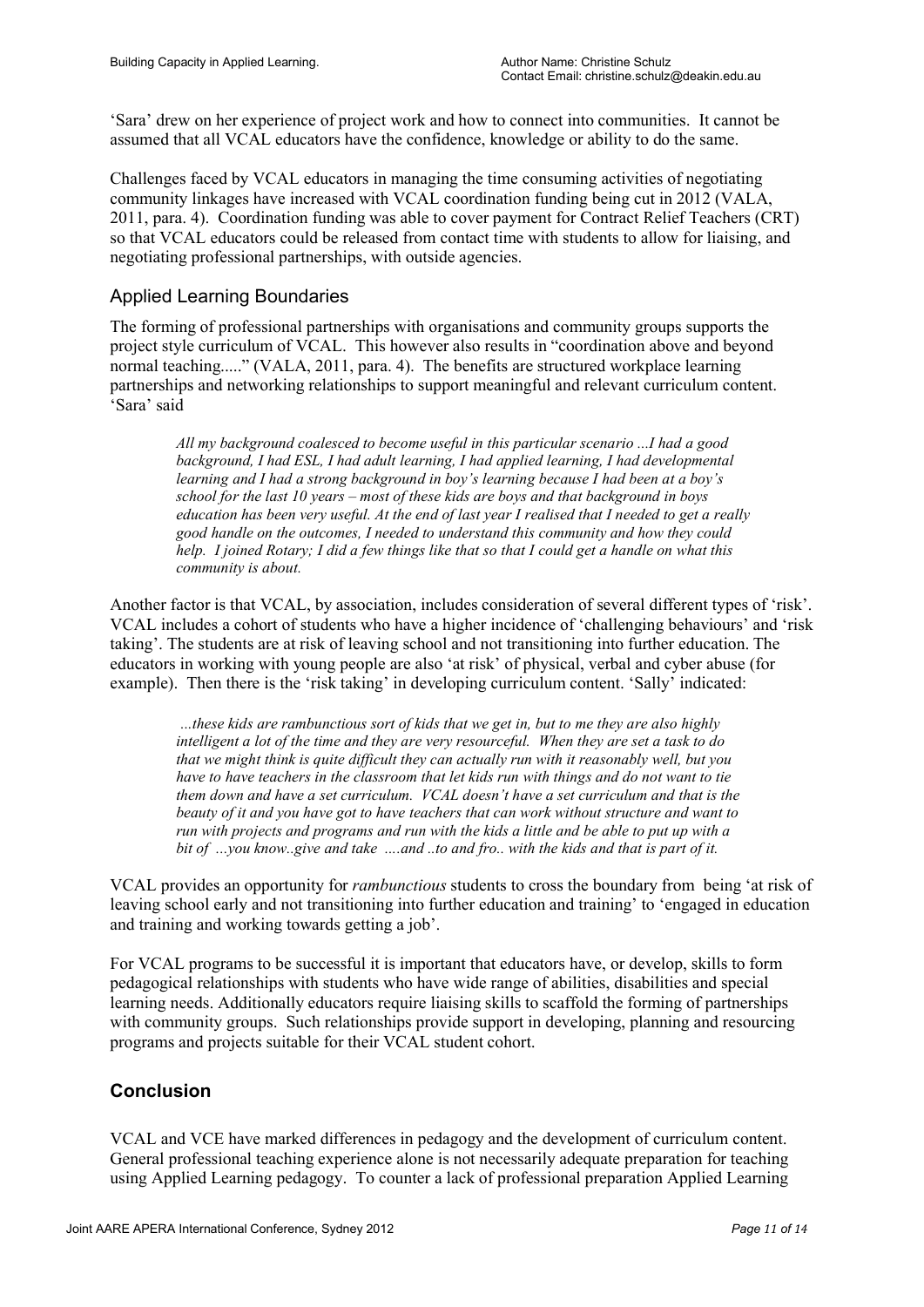'Sara' drew on her experience of project work and how to connect into communities. It cannot be assumed that all VCAL educators have the confidence, knowledge or ability to do the same.

Challenges faced by VCAL educators in managing the time consuming activities of negotiating community linkages have increased with VCAL coordination funding being cut in 2012 (VALA, 2011, para. 4). Coordination funding was able to cover payment for Contract Relief Teachers (CRT) so that VCAL educators could be released from contact time with students to allow for liaising, and negotiating professional partnerships, with outside agencies.

# Applied Learning Boundaries

The forming of professional partnerships with organisations and community groups supports the project style curriculum of VCAL. This however also results in "coordination above and beyond normal teaching....." (VALA, 2011, para. 4). The benefits are structured workplace learning partnerships and networking relationships to support meaningful and relevant curriculum content. 'Sara' said

*All my background coalesced to become useful in this particular scenario ...I had a good background, I had ESL, I had adult learning, I had applied learning, I had developmental learning and I had a strong background in boy's learning because I had been at a boy's school for the last 10 years – most of these kids are boys and that background in boys education has been very useful. At the end of last year I realised that I needed to get a really good handle on the outcomes, I needed to understand this community and how they could help. I joined Rotary; I did a few things like that so that I could get a handle on what this community is about.*

Another factor is that VCAL, by association, includes consideration of several different types of 'risk'. VCAL includes a cohort of students who have a higher incidence of 'challenging behaviours' and 'risk taking'. The students are at risk of leaving school and not transitioning into further education. The educators in working with young people are also 'at risk' of physical, verbal and cyber abuse (for example). Then there is the 'risk taking' in developing curriculum content. 'Sally' indicated:

*...these kids are rambunctious sort of kids that we get in, but to me they are also highly intelligent a lot of the time and they are very resourceful. When they are set a task to do that we might think is quite difficult they can actually run with it reasonably well, but you have to have teachers in the classroom that let kids run with things and do not want to tie them down and have a set curriculum. VCAL doesn't have a set curriculum and that is the beauty of it and you have got to have teachers that can work without structure and want to run with projects and programs and run with the kids a little and be able to put up with a bit of ...you know..give and take ....and ..to and fro.. with the kids and that is part of it.* 

VCAL provides an opportunity for *rambunctious* students to cross the boundary from being 'at risk of leaving school early and not transitioning into further education and training' to 'engaged in education and training and working towards getting a job'.

For VCAL programs to be successful it is important that educators have, or develop, skills to form pedagogical relationships with students who have wide range of abilities, disabilities and special learning needs. Additionally educators require liaising skills to scaffold the forming of partnerships with community groups. Such relationships provide support in developing, planning and resourcing programs and projects suitable for their VCAL student cohort.

# **Conclusion**

VCAL and VCE have marked differences in pedagogy and the development of curriculum content. General professional teaching experience alone is not necessarily adequate preparation for teaching using Applied Learning pedagogy. To counter a lack of professional preparation Applied Learning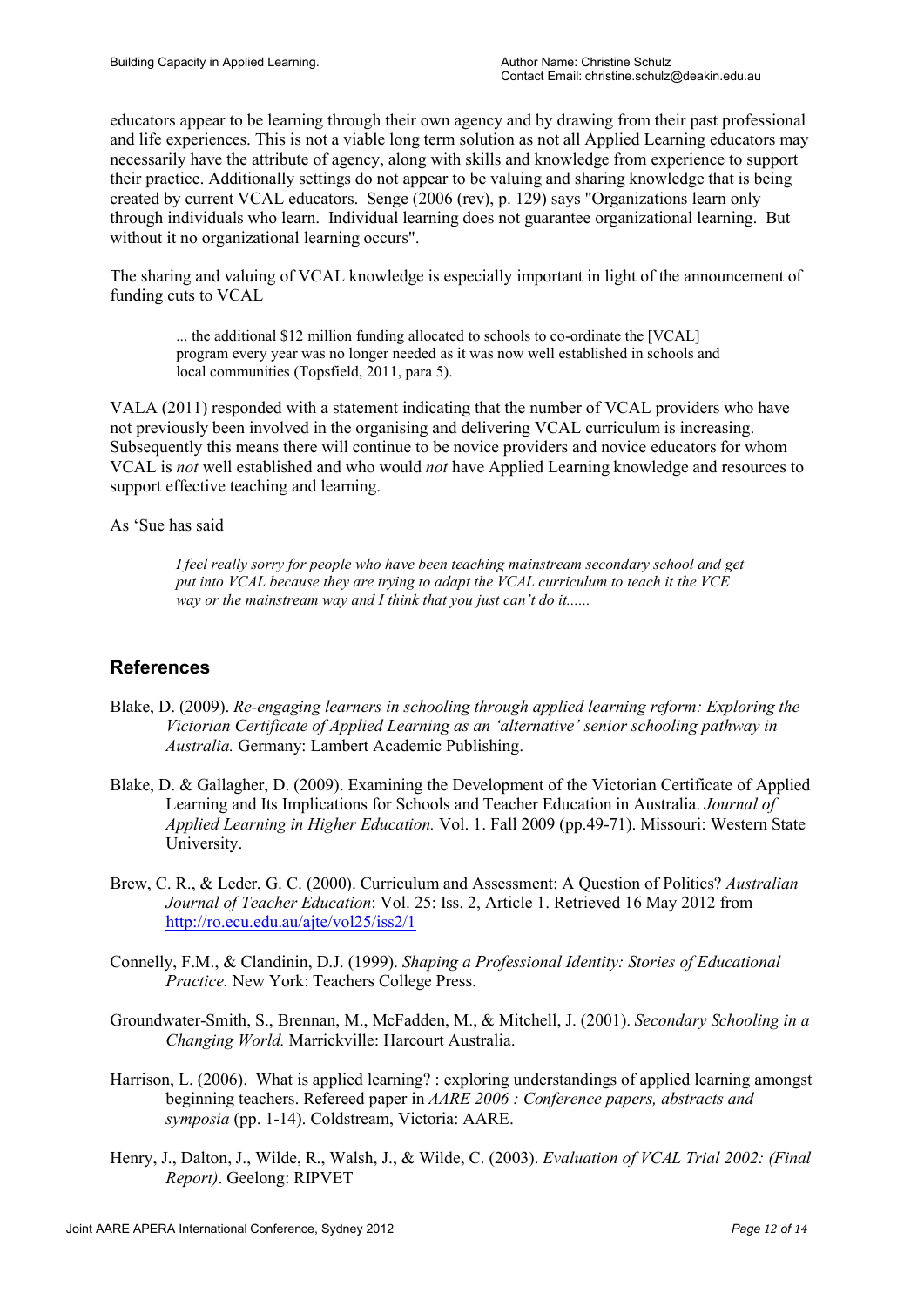educators appear to be learning through their own agency and by drawing from their past professional and life experiences. This is not a viable long term solution as not all Applied Learning educators may necessarily have the attribute of agency, along with skills and knowledge from experience to support their practice. Additionally settings do not appear to be valuing and sharing knowledge that is being created by current VCAL educators. Senge (2006 (rev), p. 129) says "Organizations learn only through individuals who learn. Individual learning does not guarantee organizational learning. But without it no organizational learning occurs".

The sharing and valuing of VCAL knowledge is especially important in light of the announcement of funding cuts to VCAL

... the additional \$12 million funding allocated to schools to co-ordinate the [VCAL] program every year was no longer needed as it was now well established in schools and local communities (Topsfield, 2011, para 5).

VALA (2011) responded with a statement indicating that the number of VCAL providers who have not previously been involved in the organising and delivering VCAL curriculum is increasing. Subsequently this means there will continue to be novice providers and novice educators for whom VCAL is *not* well established and who would *not* have Applied Learning knowledge and resources to support effective teaching and learning.

As 'Sue has said

*I feel really sorry for people who have been teaching mainstream secondary school and get put into VCAL because they are trying to adapt the VCAL curriculum to teach it the VCE way or the mainstream way and I think that you just can't do it......*

# **References**

- Blake, D. (2009). *Re-engaging learners in schooling through applied learning reform: Exploring the Victorian Certificate of Applied Learning as an 'alternative' senior schooling pathway in Australia.* Germany: Lambert Academic Publishing.
- Blake, D. & Gallagher, D. (2009). Examining the Development of the Victorian Certificate of Applied Learning and Its Implications for Schools and Teacher Education in Australia. *Journal of Applied Learning in Higher Education.* Vol. 1. Fall 2009 (pp.49-71). Missouri: Western State University.
- Brew, C. R., & Leder, G. C. (2000). Curriculum and Assessment: A Question of Politics? *Australian Journal of Teacher Education*: Vol. 25: Iss. 2, Article 1. Retrieved 16 May 2012 from http://ro.ecu.edu.au/ajte/vol25/iss2/1
- Connelly, F.M., & Clandinin, D.J. (1999). *Shaping a Professional Identity: Stories of Educational Practice.* New York: Teachers College Press.
- Groundwater-Smith, S., Brennan, M., McFadden, M., & Mitchell, J. (2001). *Secondary Schooling in a Changing World.* Marrickville: Harcourt Australia.
- Harrison, L. (2006). What is applied learning? : exploring understandings of applied learning amongst beginning teachers. Refereed paper in *AARE 2006 : Conference papers, abstracts and symposia* (pp. 1-14). Coldstream, Victoria: AARE.
- Henry, J., Dalton, J., Wilde, R., Walsh, J., & Wilde, C. (2003). *Evaluation of VCAL Trial 2002: (Final Report)*. Geelong: RIPVET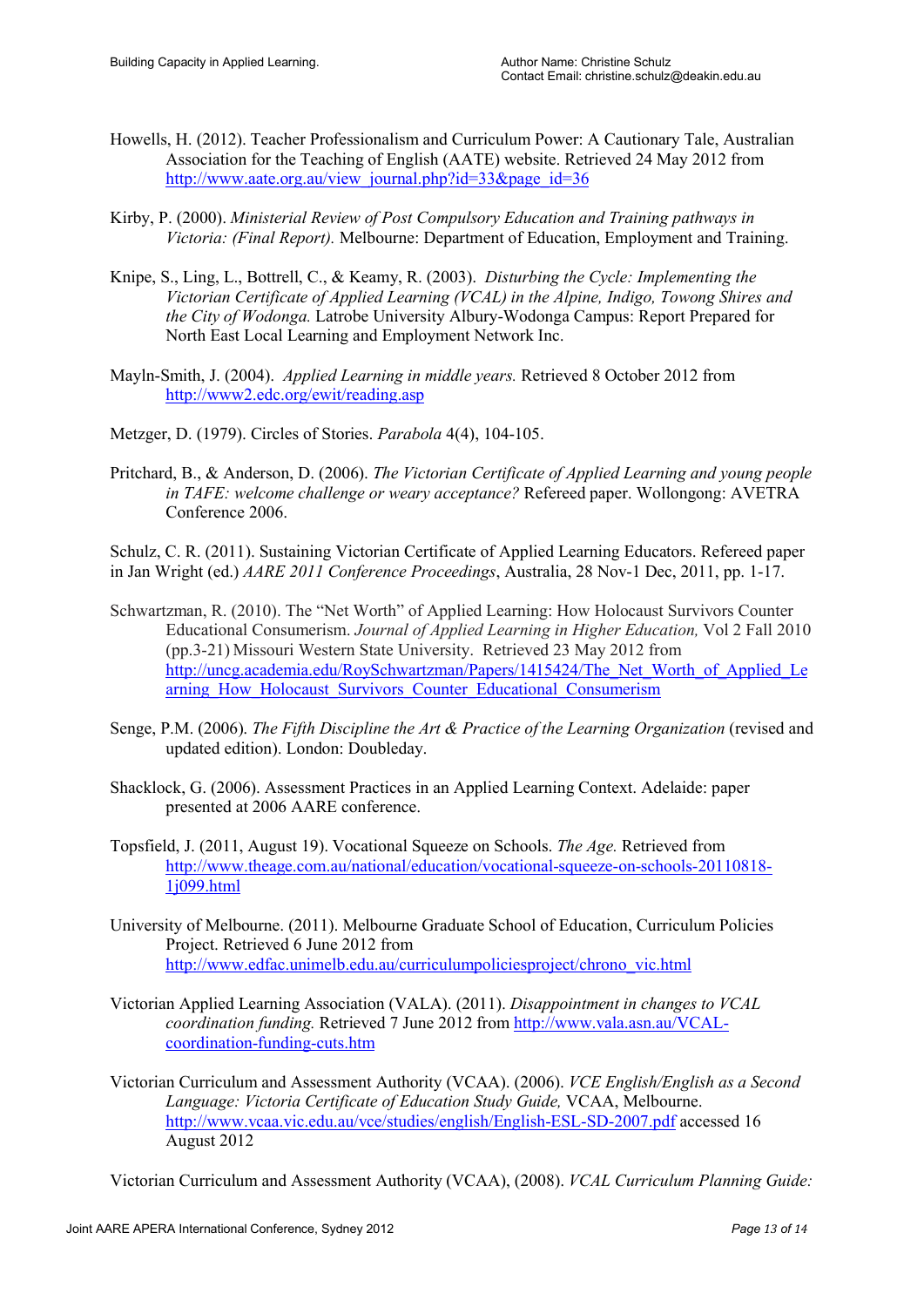- Howells, H. (2012). Teacher Professionalism and Curriculum Power: A Cautionary Tale, Australian Association for the Teaching of English (AATE) website. Retrieved 24 May 2012 from http://www.aate.org.au/view\_journal.php?id=33&page\_id=36
- Kirby, P. (2000). *Ministerial Review of Post Compulsory Education and Training pathways in Victoria: (Final Report).* Melbourne: Department of Education, Employment and Training.
- Knipe, S., Ling, L., Bottrell, C., & Keamy, R. (2003). *Disturbing the Cycle: Implementing the Victorian Certificate of Applied Learning (VCAL) in the Alpine, Indigo, Towong Shires and the City of Wodonga.* Latrobe University Albury-Wodonga Campus: Report Prepared for North East Local Learning and Employment Network Inc.
- Mayln-Smith, J. (2004). *Applied Learning in middle years.* Retrieved 8 October 2012 from http://www2.edc.org/ewit/reading.asp
- Metzger, D. (1979). Circles of Stories. *Parabola* 4(4), 104-105.
- Pritchard, B., & Anderson, D. (2006). *The Victorian Certificate of Applied Learning and young people in TAFE: welcome challenge or weary acceptance?* Refereed paper. Wollongong: AVETRA Conference 2006.

Schulz, C. R. (2011). Sustaining Victorian Certificate of Applied Learning Educators. Refereed paper in Jan Wright (ed.) *AARE 2011 Conference Proceedings*, Australia, 28 Nov-1 Dec, 2011, pp. 1-17.

- Schwartzman, R. (2010). The "Net Worth" of Applied Learning: How Holocaust Survivors Counter Educational Consumerism. *Journal of Applied Learning in Higher Education,* Vol 2 Fall 2010 (pp.3-21) Missouri Western State University. Retrieved 23 May 2012 from http://uncg.academia.edu/RoySchwartzman/Papers/1415424/The\_Net\_Worth\_of\_Applied\_Le arning How Holocaust Survivors Counter Educational Consumerism
- Senge, P.M. (2006). *The Fifth Discipline the Art & Practice of the Learning Organization* (revised and updated edition). London: Doubleday.
- Shacklock, G. (2006). Assessment Practices in an Applied Learning Context. Adelaide: paper presented at 2006 AARE conference.
- Topsfield, J. (2011, August 19). Vocational Squeeze on Schools. *The Age.* Retrieved from http://www.theage.com.au/national/education/vocational-squeeze-on-schools-20110818- 1j099.html
- University of Melbourne. (2011). Melbourne Graduate School of Education, Curriculum Policies Project. Retrieved 6 June 2012 from http://www.edfac.unimelb.edu.au/curriculumpoliciesproject/chrono\_vic.html
- Victorian Applied Learning Association (VALA). (2011). *Disappointment in changes to VCAL coordination funding.* Retrieved 7 June 2012 from http://www.vala.asn.au/VCALcoordination-funding-cuts.htm
- Victorian Curriculum and Assessment Authority (VCAA). (2006). *VCE English/English as a Second Language: Victoria Certificate of Education Study Guide,* VCAA, Melbourne. http://www.vcaa.vic.edu.au/vce/studies/english/English-ESL-SD-2007.pdf accessed 16 August 2012

Victorian Curriculum and Assessment Authority (VCAA), (2008). *VCAL Curriculum Planning Guide:*